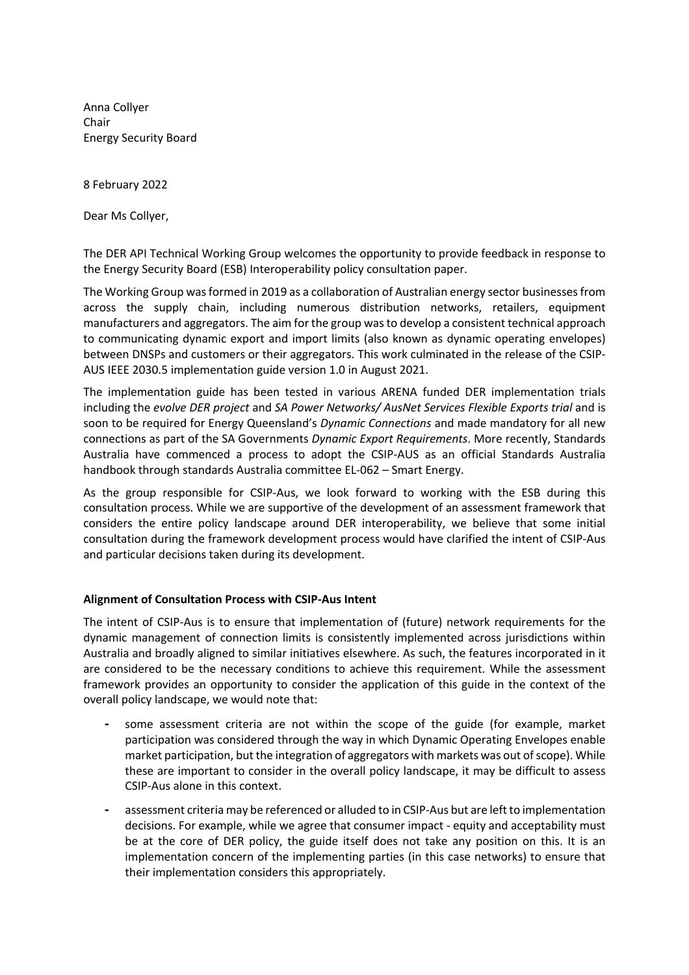Anna Collyer Chair Energy Security Board

8 February 2022

Dear Ms Collyer,

The DER API Technical Working Group welcomes the opportunity to provide feedback in response to the Energy Security Board (ESB) Interoperability policy consultation paper.

The Working Group was formed in 2019 as a collaboration of Australian energy sector businesses from across the supply chain, including numerous distribution networks, retailers, equipment manufacturers and aggregators. The aim for the group was to develop a consistent technical approach to communicating dynamic export and import limits (also known as dynamic operating envelopes) between DNSPs and customers or their aggregators. This work culminated in the release of the CSIP-AUS IEEE 2030.5 implementation guide version 1.0 in August 2021.

The implementation guide has been tested in various ARENA funded DER implementation trials including the *evolve DER project* and *SA Power Networks/ AusNet Services Flexible Exports trial* and is soon to be required for Energy Queensland's *Dynamic Connections* and made mandatory for all new connections as part of the SA Governments *Dynamic Export Requirements*. More recently, Standards Australia have commenced a process to adopt the CSIP-AUS as an official Standards Australia handbook through standards Australia committee EL-062 – Smart Energy.

As the group responsible for CSIP-Aus, we look forward to working with the ESB during this consultation process. While we are supportive of the development of an assessment framework that considers the entire policy landscape around DER interoperability, we believe that some initial consultation during the framework development process would have clarified the intent of CSIP-Aus and particular decisions taken during its development.

## **Alignment of Consultation Process with CSIP-Aus Intent**

The intent of CSIP-Aus is to ensure that implementation of (future) network requirements for the dynamic management of connection limits is consistently implemented across jurisdictions within Australia and broadly aligned to similar initiatives elsewhere. As such, the features incorporated in it are considered to be the necessary conditions to achieve this requirement. While the assessment framework provides an opportunity to consider the application of this guide in the context of the overall policy landscape, we would note that:

- some assessment criteria are not within the scope of the guide (for example, market participation was considered through the way in which Dynamic Operating Envelopes enable market participation, but the integration of aggregators with markets was out of scope). While these are important to consider in the overall policy landscape, it may be difficult to assess CSIP-Aus alone in this context.
- assessment criteria may be referenced or alluded to in CSIP-Aus but are left to implementation decisions. For example, while we agree that consumer impact - equity and acceptability must be at the core of DER policy, the guide itself does not take any position on this. It is an implementation concern of the implementing parties (in this case networks) to ensure that their implementation considers this appropriately.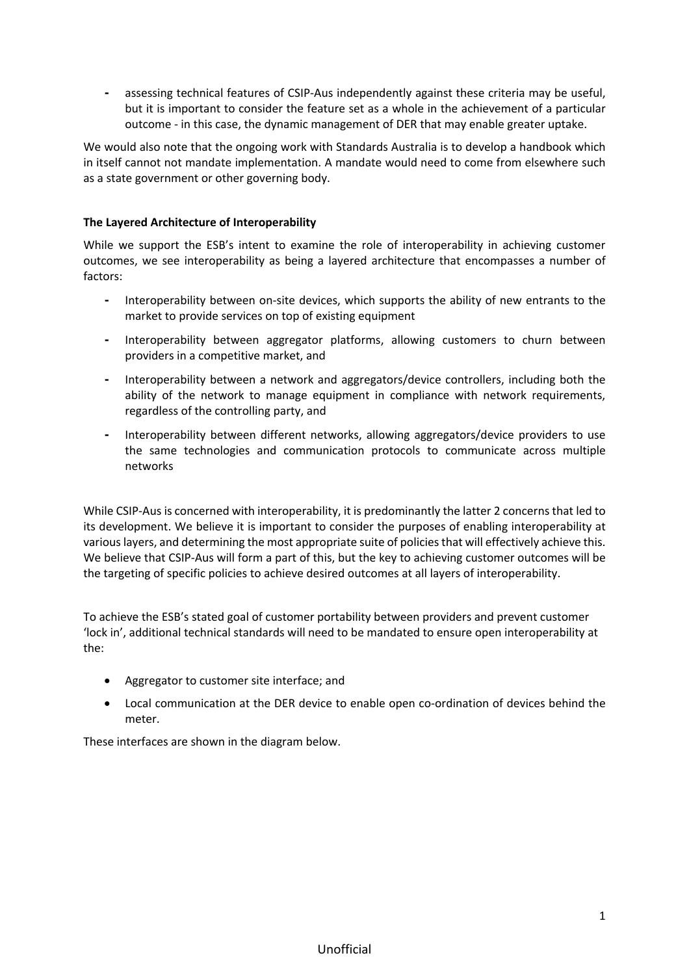⁃ assessing technical features of CSIP-Aus independently against these criteria may be useful, but it is important to consider the feature set as a whole in the achievement of a particular outcome - in this case, the dynamic management of DER that may enable greater uptake.

We would also note that the ongoing work with Standards Australia is to develop a handbook which in itself cannot not mandate implementation. A mandate would need to come from elsewhere such as a state government or other governing body.

## **The Layered Architecture of Interoperability**

While we support the ESB's intent to examine the role of interoperability in achieving customer outcomes, we see interoperability as being a layered architecture that encompasses a number of factors:

- ⁃ Interoperability between on-site devices, which supports the ability of new entrants to the market to provide services on top of existing equipment
- ⁃ Interoperability between aggregator platforms, allowing customers to churn between providers in a competitive market, and
- ⁃ Interoperability between a network and aggregators/device controllers, including both the ability of the network to manage equipment in compliance with network requirements, regardless of the controlling party, and
- Interoperability between different networks, allowing aggregators/device providers to use the same technologies and communication protocols to communicate across multiple networks

While CSIP-Aus is concerned with interoperability, it is predominantly the latter 2 concerns that led to its development. We believe it is important to consider the purposes of enabling interoperability at various layers, and determining the most appropriate suite of policies that will effectively achieve this. We believe that CSIP-Aus will form a part of this, but the key to achieving customer outcomes will be the targeting of specific policies to achieve desired outcomes at all layers of interoperability.

To achieve the ESB's stated goal of customer portability between providers and prevent customer 'lock in', additional technical standards will need to be mandated to ensure open interoperability at the:

- Aggregator to customer site interface; and
- Local communication at the DER device to enable open co-ordination of devices behind the meter.

These interfaces are shown in the diagram below.